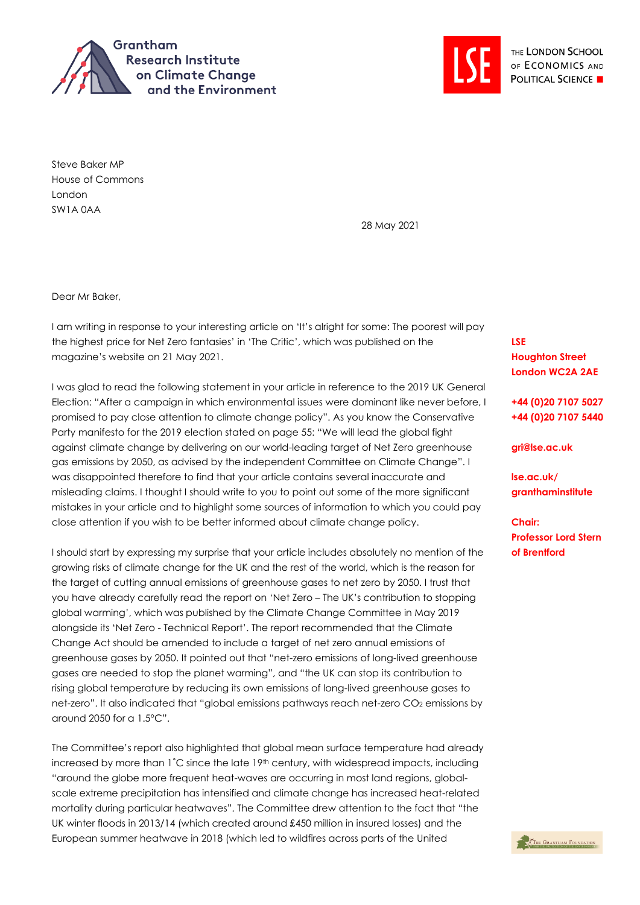



Steve Baker MP House of Commons London SW1A 0AA

28 May 2021

Dear Mr Baker,

I am writing in response to your interesting article on 'It's alright for some: The poorest will pay the highest price for Net Zero fantasies' in 'The Critic', which was published on the magazine's website on 21 May 2021.

I was glad to read the following statement in your article in reference to the 2019 UK General Election: "After a campaign in which environmental issues were dominant like never before, I promised to pay close attention to climate change policy". As you know the Conservative Party manifesto for the 2019 election stated on page 55: "We will lead the global fight against climate change by delivering on our world-leading target of Net Zero greenhouse gas emissions by 2050, as advised by the independent Committee on Climate Change". I was disappointed therefore to find that your article contains several inaccurate and misleading claims. I thought I should write to you to point out some of the more significant mistakes in your article and to highlight some sources of information to which you could pay close attention if you wish to be better informed about climate change policy.

I should start by expressing my surprise that your article includes absolutely no mention of the growing risks of climate change for the UK and the rest of the world, which is the reason for the target of cutting annual emissions of greenhouse gases to net zero by 2050. I trust that you have already carefully read the report on 'Net Zero – The UK's contribution to stopping global warming', which was published by the Climate Change Committee in May 2019 alongside its 'Net Zero - Technical Report'. The report recommended that the Climate Change Act should be amended to include a target of net zero annual emissions of greenhouse gases by 2050. It pointed out that "net-zero emissions of long-lived greenhouse gases are needed to stop the planet warming", and "the UK can stop its contribution to rising global temperature by reducing its own emissions of long-lived greenhouse gases to net-zero". It also indicated that "global emissions pathways reach net-zero CO2 emissions by around 2050 for a 1.5°C".

The Committee's report also highlighted that global mean surface temperature had already increased by more than 1°C since the late 19<sup>th</sup> century, with widespread impacts, including "around the globe more frequent heat-waves are occurring in most land regions, globalscale extreme precipitation has intensified and climate change has increased heat-related mortality during particular heatwaves". The Committee drew attention to the fact that "the UK winter floods in 2013/14 (which created around £450 million in insured losses) and the European summer heatwave in 2018 (which led to wildfires across parts of the United

## **LSE Houghton Street London WC2A 2AE**

**+44 (0)20 7107 5027 +44 (0)20 7107 5440**

**gri@lse.ac.uk**

**lse.ac.uk/ granthaminstitute**

**Chair: Professor Lord Stern of Brentford**

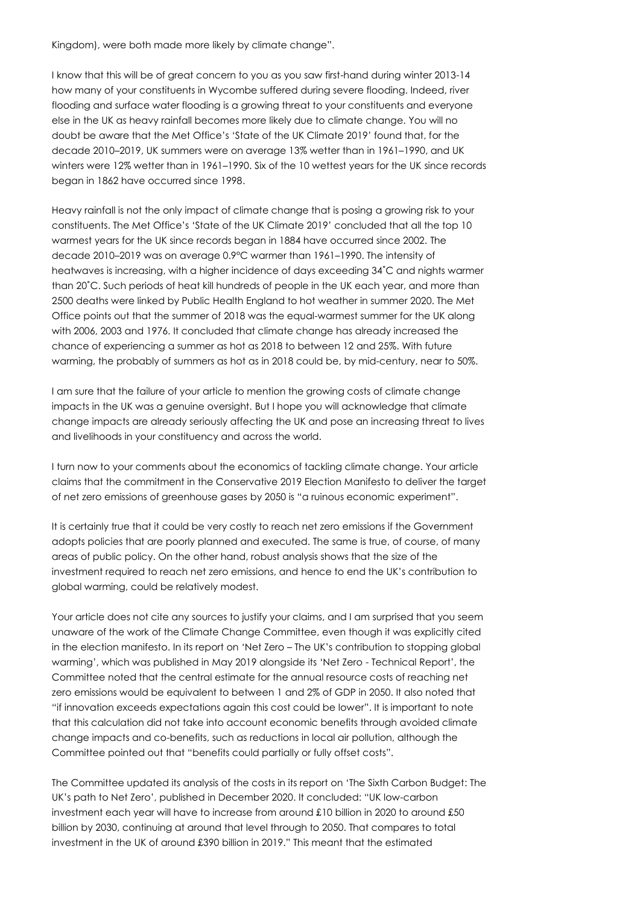Kingdom), were both made more likely by climate change".

I know that this will be of great concern to you as you saw first-hand during winter 2013-14 how many of your constituents in Wycombe suffered during severe flooding. Indeed, river flooding and surface water flooding is a growing threat to your constituents and everyone else in the UK as heavy rainfall becomes more likely due to climate change. You will no doubt be aware that the Met Office's 'State of the UK Climate 2019' found that, for the decade 2010–2019, UK summers were on average 13% wetter than in 1961–1990, and UK winters were 12% wetter than in 1961–1990. Six of the 10 wettest years for the UK since records began in 1862 have occurred since 1998.

Heavy rainfall is not the only impact of climate change that is posing a growing risk to your constituents. The Met Office's 'State of the UK Climate 2019' concluded that all the top 10 warmest years for the UK since records began in 1884 have occurred since 2002. The decade 2010–2019 was on average 0.9°C warmer than 1961–1990. The intensity of heatwaves is increasing, with a higher incidence of days exceeding 34˚C and nights warmer than 20˚C. Such periods of heat kill hundreds of people in the UK each year, and more than 2500 deaths were linked by Public Health England to hot weather in summer 2020. The Met Office points out that the summer of 2018 was the equal-warmest summer for the UK along with 2006, 2003 and 1976. It concluded that climate change has already increased the chance of experiencing a summer as hot as 2018 to between 12 and 25%. With future warming, the probably of summers as hot as in 2018 could be, by mid-century, near to 50%.

I am sure that the failure of your article to mention the growing costs of climate change impacts in the UK was a genuine oversight. But I hope you will acknowledge that climate change impacts are already seriously affecting the UK and pose an increasing threat to lives and livelihoods in your constituency and across the world.

I turn now to your comments about the economics of tackling climate change. Your article claims that the commitment in the Conservative 2019 Election Manifesto to deliver the target of net zero emissions of greenhouse gases by 2050 is "a ruinous economic experiment".

It is certainly true that it could be very costly to reach net zero emissions if the Government adopts policies that are poorly planned and executed. The same is true, of course, of many areas of public policy. On the other hand, robust analysis shows that the size of the investment required to reach net zero emissions, and hence to end the UK's contribution to global warming, could be relatively modest.

Your article does not cite any sources to justify your claims, and I am surprised that you seem unaware of the work of the Climate Change Committee, even though it was explicitly cited in the election manifesto. In its report on 'Net Zero – The UK's contribution to stopping global warming', which was published in May 2019 alongside its 'Net Zero - Technical Report', the Committee noted that the central estimate for the annual resource costs of reaching net zero emissions would be equivalent to between 1 and 2% of GDP in 2050. It also noted that "if innovation exceeds expectations again this cost could be lower". It is important to note that this calculation did not take into account economic benefits through avoided climate change impacts and co-benefits, such as reductions in local air pollution, although the Committee pointed out that "benefits could partially or fully offset costs".

The Committee updated its analysis of the costs in its report on 'The Sixth Carbon Budget: The UK's path to Net Zero', published in December 2020. It concluded: "UK low-carbon investment each year will have to increase from around £10 billion in 2020 to around £50 billion by 2030, continuing at around that level through to 2050. That compares to total investment in the UK of around £390 billion in 2019." This meant that the estimated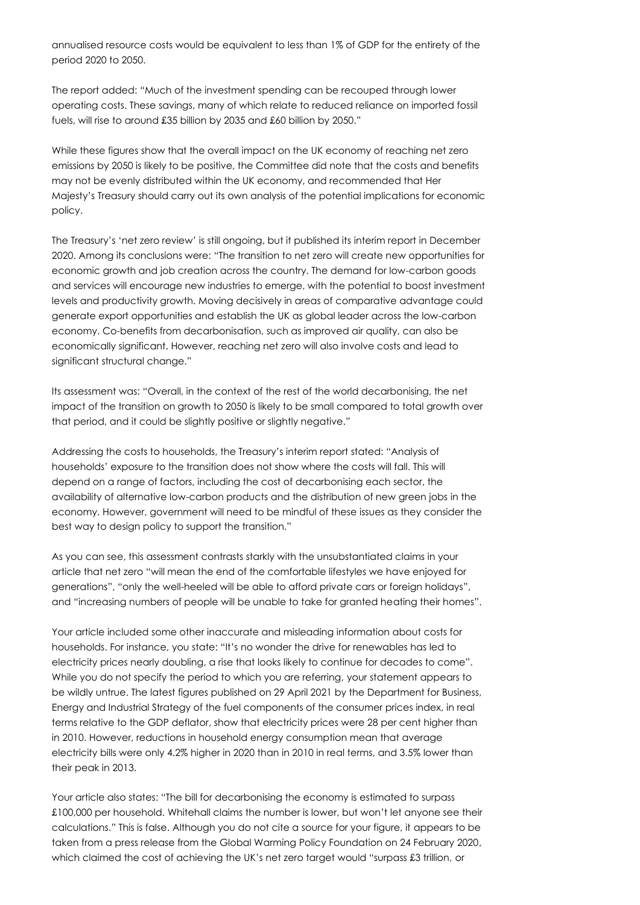annualised resource costs would be equivalent to less than 1% of GDP for the entirety of the period 2020 to 2050.

The report added: "Much of the investment spending can be recouped through lower operating costs. These savings, many of which relate to reduced reliance on imported fossil fuels, will rise to around £35 billion by 2035 and £60 billion by 2050."

While these figures show that the overall impact on the UK economy of reaching net zero emissions by 2050 is likely to be positive, the Committee did note that the costs and benefits may not be evenly distributed within the UK economy, and recommended that Her Majesty's Treasury should carry out its own analysis of the potential implications for economic policy.

The Treasury's 'net zero review' is still ongoing, but it published its interim report in December 2020. Among its conclusions were: "The transition to net zero will create new opportunities for economic growth and job creation across the country. The demand for low-carbon goods and services will encourage new industries to emerge, with the potential to boost investment levels and productivity growth. Moving decisively in areas of comparative advantage could generate export opportunities and establish the UK as global leader across the low-carbon economy. Co-benefits from decarbonisation, such as improved air quality, can also be economically significant. However, reaching net zero will also involve costs and lead to significant structural change."

Its assessment was: "Overall, in the context of the rest of the world decarbonising, the net impact of the transition on growth to 2050 is likely to be small compared to total growth over that period, and it could be slightly positive or slightly negative."

Addressing the costs to households, the Treasury's interim report stated: "Analysis of households' exposure to the transition does not show where the costs will fall. This will depend on a range of factors, including the cost of decarbonising each sector, the availability of alternative low-carbon products and the distribution of new green jobs in the economy. However, government will need to be mindful of these issues as they consider the best way to design policy to support the transition."

As you can see, this assessment contrasts starkly with the unsubstantiated claims in your article that net zero "will mean the end of the comfortable lifestyles we have enjoyed for generations", "only the well-heeled will be able to afford private cars or foreign holidays", and "increasing numbers of people will be unable to take for granted heating their homes".

Your article included some other inaccurate and misleading information about costs for households. For instance, you state: "It's no wonder the drive for renewables has led to electricity prices nearly doubling, a rise that looks likely to continue for decades to come". While you do not specify the period to which you are referring, your statement appears to be wildly untrue. The latest figures published on 29 April 2021 by the Department for Business, Energy and Industrial Strategy of the fuel components of the consumer prices index, in real terms relative to the GDP deflator, show that electricity prices were 28 per cent higher than in 2010. However, reductions in household energy consumption mean that average electricity bills were only 4.2% higher in 2020 than in 2010 in real terms, and 3.5% lower than their peak in 2013.

Your article also states: "The bill for decarbonising the economy is estimated to surpass £100,000 per household. Whitehall claims the number is lower, but won't let anyone see their calculations." This is false. Although you do not cite a source for your figure, it appears to be taken from a press release from the Global Warming Policy Foundation on 24 February 2020, which claimed the cost of achieving the UK's net zero target would "surpass £3 trillion, or